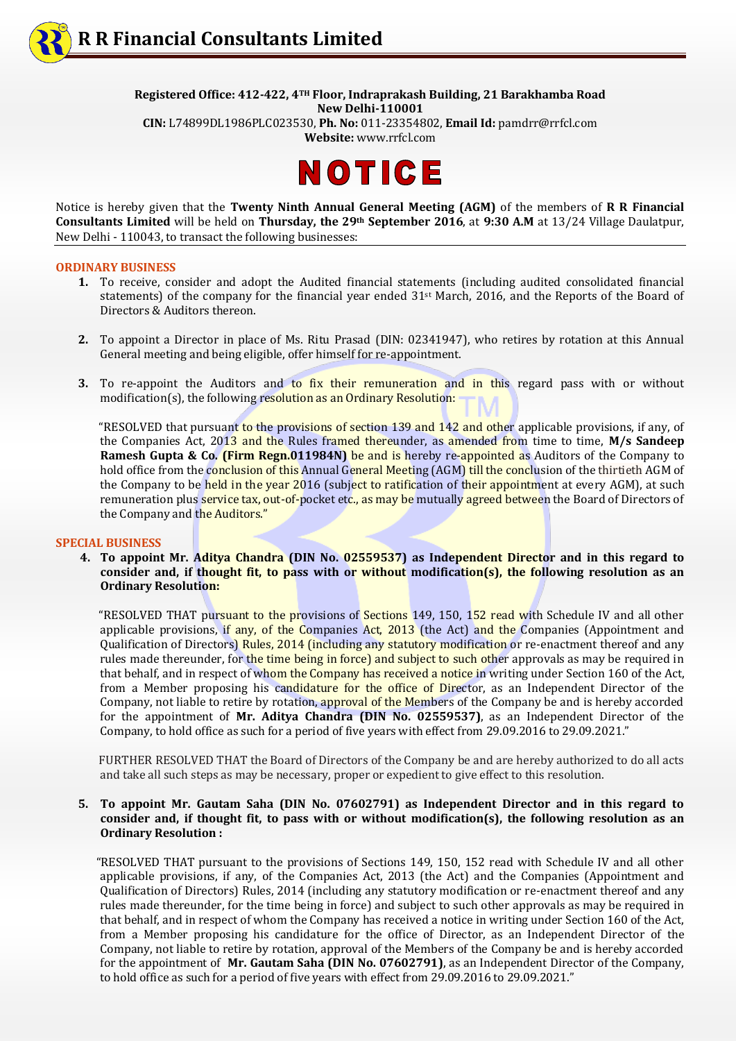**Registered Office: 412-422, 4TH Floor, Indraprakash Building, 21 Barakhamba Road New Delhi-110001**

**CIN:** L74899DL1986PLC023530, **Ph. No:** 011-23354802, **Email Id:** pamdrr@rrfcl.com **Website:** [www.rrfcl.com](http://www.rrfcl.com/)



Notice is hereby given that the **Twenty Ninth Annual General Meeting (AGM)** of the members of **R R Financial Consultants Limited** will be held on **Thursday, the 29th September 2016**, at **9:30 A.M** at 13/24 Village Daulatpur, New Delhi - 110043, to transact the following businesses:

#### **ORDINARY BUSINESS**

- **1.** To receive, consider and adopt the Audited financial statements (including audited consolidated financial statements) of the company for the financial year ended 31st March, 2016, and the Reports of the Board of Directors & Auditors thereon.
- **2.** To appoint a Director in place of Ms. Ritu Prasad (DIN: 02341947), who retires by rotation at this Annual General meeting and being eligible, offer himself for re-appointment.
- **3.** To re-appoint the Auditors and to fix their remuneration and in this regard pass with or without modification(s), the following resolution as an Ordinary Resolution:

 "RESOLVED that pursuant to the provisions of section 139 and 142 and other applicable provisions, if any, of the Companies Act, 2013 and the Rules framed thereunder, as amended from time to time, **M/s Sandeep Ramesh Gupta & Co. (Firm Regn.011984N)** be and is hereby re-appointed as Auditors of the Company to hold office from the conclusion of this Annual General Meeting (AGM) till the conclusion of the thirtieth AGM of the Company to be held in the year 2016 (subject to ratification of their appointment at every AGM), at such remuneration plus service tax, out-of-pocket etc., as may be mutually agreed between the Board of Directors of the Company and the Auditors."

### **SPECIAL BUSINESS**

 **4. To appoint Mr. Aditya Chandra (DIN No. 02559537) as Independent Director and in this regard to consider and, if thought fit, to pass with or without modification(s), the following resolution as an Ordinary Resolution:**

 "RESOLVED THAT pursuant to the provisions of Sections 149, 150, 152 read with Schedule IV and all other applicable provisions, if any, of the Companies Act, 2013 (the Act) and the Companies (Appointment and Qualification of Directors) Rules, 2014 (including any statutory modification or re-enactment thereof and any rules made thereunder, for the time being in force) and subject to such other approvals as may be required in that behalf, and in respect of whom the Company has received a notice in writing under Section 160 of the Act, from a Member proposing his candidature for the office of Director, as an Independent Director of the Company, not liable to retire by rotation, approval of the Members of the Company be and is hereby accorded for the appointment of **Mr. Aditya Chandra (DIN No. 02559537)**, as an Independent Director of the Company, to hold office as such for a period of five years with effect from 29.09.2016 to 29.09.2021."

 FURTHER RESOLVED THAT the Board of Directors of the Company be and are hereby authorized to do all acts and take all such steps as may be necessary, proper or expedient to give effect to this resolution.

### **5. To appoint Mr. Gautam Saha (DIN No. 07602791) as Independent Director and in this regard to consider and, if thought fit, to pass with or without modification(s), the following resolution as an Ordinary Resolution :**

 "RESOLVED THAT pursuant to the provisions of Sections 149, 150, 152 read with Schedule IV and all other applicable provisions, if any, of the Companies Act, 2013 (the Act) and the Companies (Appointment and Qualification of Directors) Rules, 2014 (including any statutory modification or re-enactment thereof and any rules made thereunder, for the time being in force) and subject to such other approvals as may be required in that behalf, and in respect of whom the Company has received a notice in writing under Section 160 of the Act, from a Member proposing his candidature for the office of Director, as an Independent Director of the Company, not liable to retire by rotation, approval of the Members of the Company be and is hereby accorded for the appointment of **Mr. Gautam Saha (DIN No. 07602791)**, as an Independent Director of the Company, to hold office as such for a period of five years with effect from 29.09.2016 to 29.09.2021."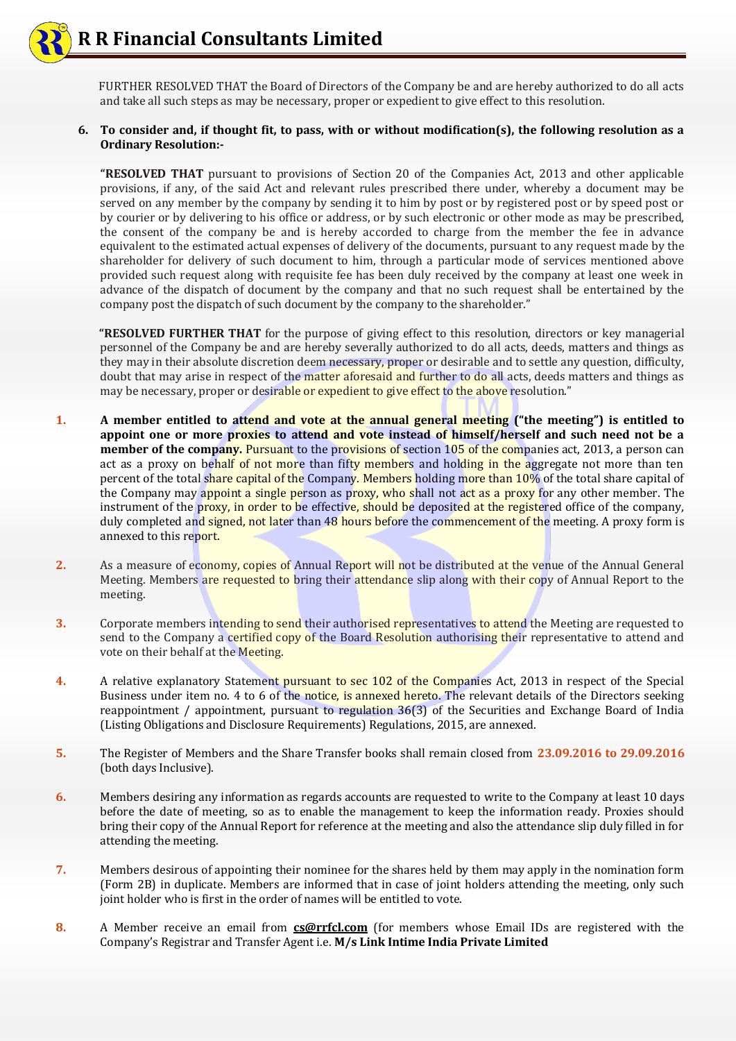FURTHER RESOLVED THAT the Board of Directors of the Company be and are hereby authorized to do all acts and take all such steps as may be necessary, proper or expedient to give effect to this resolution.

# **6. To consider and, if thought fit, to pass, with or without modification(s), the following resolution as a Ordinary Resolution:-**

**"RESOLVED THAT** pursuant to provisions of Section 20 of the Companies Act, 2013 and other applicable provisions, if any, of the said Act and relevant rules prescribed there under, whereby a document may be served on any member by the company by sending it to him by post or by registered post or by speed post or by courier or by delivering to his office or address, or by such electronic or other mode as may be prescribed, the consent of the company be and is hereby accorded to charge from the member the fee in advance equivalent to the estimated actual expenses of delivery of the documents, pursuant to any request made by the shareholder for delivery of such document to him, through a particular mode of services mentioned above provided such request along with requisite fee has been duly received by the company at least one week in advance of the dispatch of document by the company and that no such request shall be entertained by the company post the dispatch of such document by the company to the shareholder."

 **"RESOLVED FURTHER THAT** for the purpose of giving effect to this resolution, directors or key managerial personnel of the Company be and are hereby severally authorized to do all acts, deeds, matters and things as they may in their absolute discretion deem necessary, proper or desirable and to settle any question, difficulty, doubt that may arise in respect of the matter aforesaid and further to do all acts, deeds matters and things as may be necessary, proper or desirable or expedient to give effect to the above resolution."

- **1. A member entitled to attend and vote at the annual general meeting ("the meeting") is entitled to appoint one or more proxies to attend and vote instead of himself/herself and such need not be a member of the company.** Pursuant to the provisions of section 105 of the companies act, 2013, a person can act as a proxy on behalf of not more than fifty members and holding in the aggregate not more than ten percent of the total share capital of the Company. Members holding more than 10% of the total share capital of the Company may appoint a single person as proxy, who shall not act as a proxy for any other member. The instrument of the proxy, in order to be effective, should be deposited at the registered office of the company, duly completed and signed, not later than 48 hours before the commencement of the meeting. A proxy form is annexed to this report.
- **2.** As a measure of economy, copies of Annual Report will not be distributed at the venue of the Annual General Meeting. Members are requested to bring their attendance slip along with their copy of Annual Report to the meeting.
- **3.** Corporate members intending to send their authorised representatives to attend the Meeting are requested to send to the Company a certified copy of the Board Resolution authorising their representative to attend and vote on their behalf at the Meeting.
- **4.** A relative explanatory Statement pursuant to sec 102 of the Companies Act, 2013 in respect of the Special Business under item no. 4 to 6 of the notice, is annexed hereto. The relevant details of the Directors seeking reappointment / appointment, pursuant to regulation 36(3) of the Securities and Exchange Board of India (Listing Obligations and Disclosure Requirements) Regulations, 2015, are annexed.
- **5.** The Register of Members and the Share Transfer books shall remain closed from **23.09.2016 to 29.09.2016** (both days Inclusive).
- **6.** Members desiring any information as regards accounts are requested to write to the Company at least 10 days before the date of meeting, so as to enable the management to keep the information ready. Proxies should bring their copy of the Annual Report for reference at the meeting and also the attendance slip duly filled in for attending the meeting.
- **7.** Members desirous of appointing their nominee for the shares held by them may apply in the nomination form (Form 2B) in duplicate. Members are informed that in case of joint holders attending the meeting, only such joint holder who is first in the order of names will be entitled to vote.
- **8.** A Member receive an email from **[cs@rrfcl.com](mailto:cs@rrfcl.com)** (for members whose Email IDs are registered with the Company's Registrar and Transfer Agent i.e. **M/s Link Intime India Private Limited**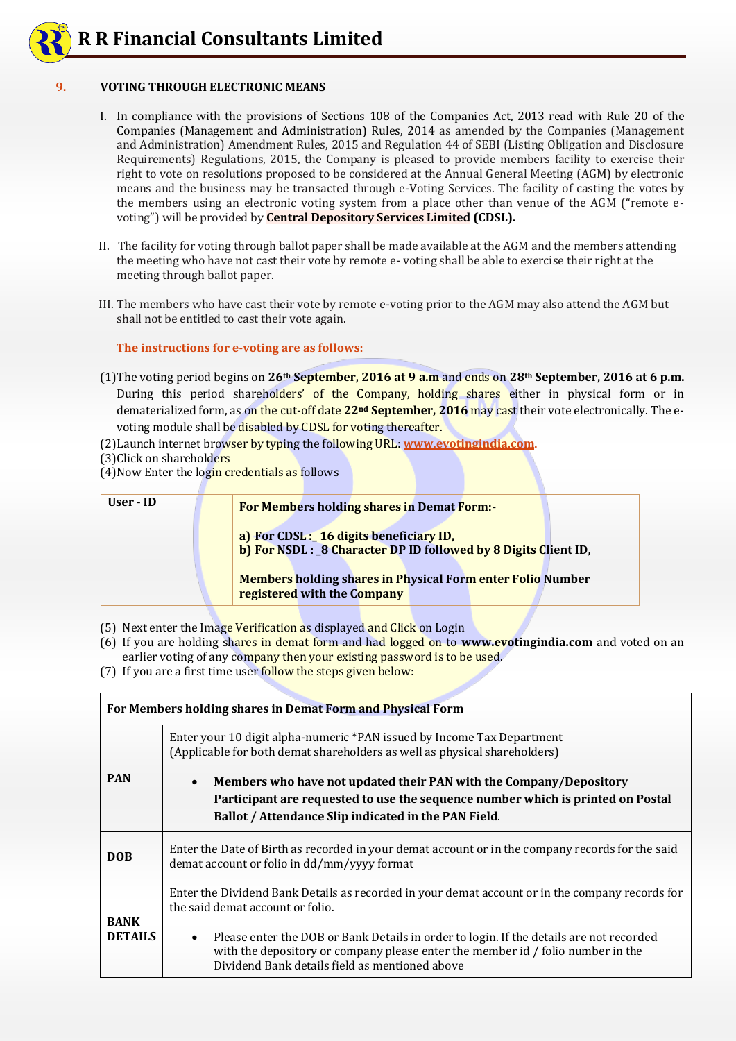# **9. VOTING THROUGH ELECTRONIC MEANS**

- I. In compliance with the provisions of Sections 108 of the Companies Act, 2013 read with Rule 20 of the Companies (Management and Administration) Rules, 2014 as amended by the Companies (Management and Administration) Amendment Rules, 2015 and Regulation 44 of SEBI (Listing Obligation and Disclosure Requirements) Regulations, 2015, the Company is pleased to provide members facility to exercise their right to vote on resolutions proposed to be considered at the Annual General Meeting (AGM) by electronic means and the business may be transacted through e-Voting Services. The facility of casting the votes by the members using an electronic voting system from a place other than venue of the AGM ("remote evoting") will be provided by **Central Depository Services Limited (CDSL).**
- II. The facility for voting through ballot paper shall be made available at the AGM and the members attending the meeting who have not cast their vote by remote e- voting shall be able to exercise their right at the meeting through ballot paper.
- III. The members who have cast their vote by remote e-voting prior to the AGM may also attend the AGM but shall not be entitled to cast their vote again.

**The instructions for e-voting are as follows:**

- (1)The voting period begins on **26th September, 2016 at 9 a.m** and ends on **28th September, 2016 at 6 p.m.** During this period shareholders' of the Company, holding shares either in physical form or in dematerialized form, as on the cut-off date **22nd September, 2016** may cast their vote electronically. The evoting module shall be disabled by CDSL for voting thereafter.
- (2)Launch internet browser by typing the following URL: **[www.evotingindia.com.](http://www.evotingindia.com/)**
- (3)Click on shareholders
- (4)Now Enter the login credentials as follows

| User - ID | <b>For Members holding shares in Demat Form:-</b>                                                         |  |  |  |
|-----------|-----------------------------------------------------------------------------------------------------------|--|--|--|
|           | a) For CDSL: 16 digits beneficiary ID,<br>b) For NSDL : 8 Character DP ID followed by 8 Digits Client ID, |  |  |  |
|           | <b>Members holding shares in Physical Form enter Folio Number</b><br>registered with the Company          |  |  |  |

- (5) Next enter the Image Verification as displayed and Click on Login
- (6) If you are holding shares in demat form and had logged on to **www.evotingindia.com** and voted on an earlier voting of any company then your existing password is to be used.
- (7) If you are a first time user follow the steps given below:

| For Members holding shares in Demat Form and Physical Form |                                                                                                                                                                                                                                           |  |  |
|------------------------------------------------------------|-------------------------------------------------------------------------------------------------------------------------------------------------------------------------------------------------------------------------------------------|--|--|
|                                                            | Enter your 10 digit alpha-numeric *PAN issued by Income Tax Department<br>(Applicable for both demat shareholders as well as physical shareholders)                                                                                       |  |  |
| <b>PAN</b>                                                 | Members who have not updated their PAN with the Company/Depository<br>$\bullet$                                                                                                                                                           |  |  |
|                                                            | Participant are requested to use the sequence number which is printed on Postal<br>Ballot / Attendance Slip indicated in the PAN Field.                                                                                                   |  |  |
| <b>DOB</b>                                                 | Enter the Date of Birth as recorded in your demat account or in the company records for the said<br>demat account or folio in dd/mm/yyyy format                                                                                           |  |  |
| <b>BANK</b><br><b>DETAILS</b>                              | Enter the Dividend Bank Details as recorded in your demat account or in the company records for<br>the said demat account or folio.                                                                                                       |  |  |
|                                                            | Please enter the DOB or Bank Details in order to login. If the details are not recorded<br>$\bullet$<br>with the depository or company please enter the member id / folio number in the<br>Dividend Bank details field as mentioned above |  |  |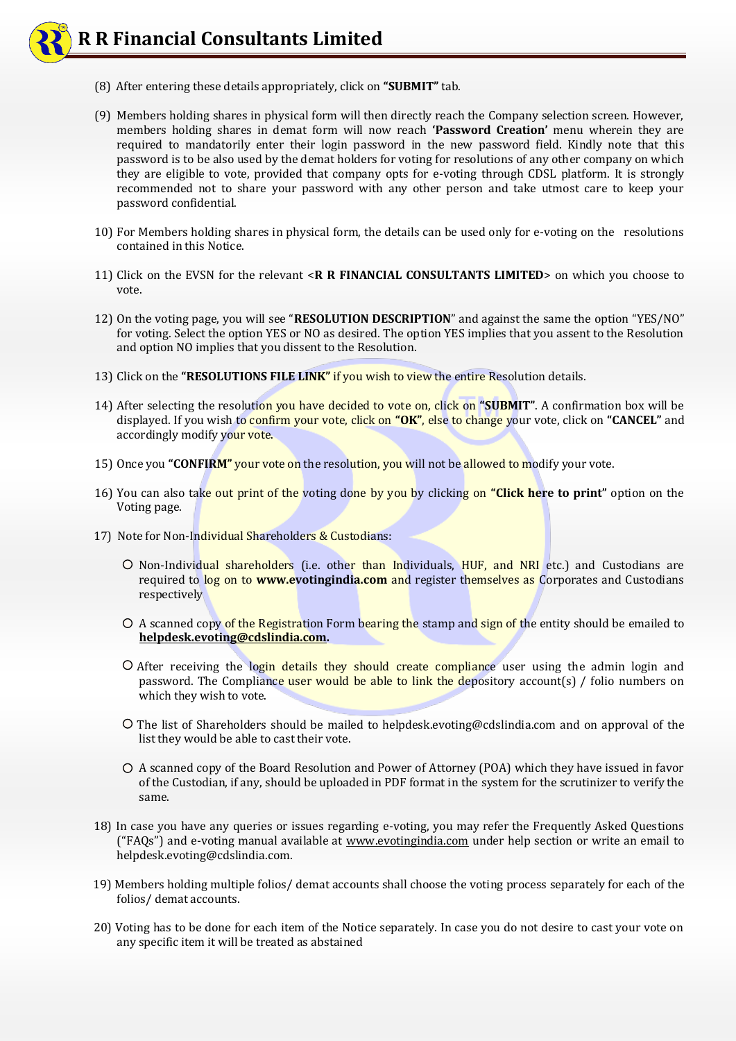# **R R Financial Consultants Limited**

- (8) After entering these details appropriately, click on **"SUBMIT"** tab.
- (9) Members holding shares in physical form will then directly reach the Company selection screen. However, members holding shares in demat form will now reach **'Password Creation'** menu wherein they are required to mandatorily enter their login password in the new password field. Kindly note that this password is to be also used by the demat holders for voting for resolutions of any other company on which they are eligible to vote, provided that company opts for e-voting through CDSL platform. It is strongly recommended not to share your password with any other person and take utmost care to keep your password confidential.
- 10) For Members holding shares in physical form, the details can be used only for e-voting on the resolutions contained in this Notice.
- 11) Click on the EVSN for the relevant <**R R FINANCIAL CONSULTANTS LIMITED**> on which you choose to vote.
- 12) On the voting page, you will see "**RESOLUTION DESCRIPTION**" and against the same the option "YES/NO" for voting. Select the option YES or NO as desired. The option YES implies that you assent to the Resolution and option NO implies that you dissent to the Resolution.
- 13) Click on the **"RESOLUTIONS FILE LINK"** if you wish to view the entire Resolution details.
- 14) After selecting the resolution you have decided to vote on, click on **"SUBMIT"**. A confirmation box will be displayed. If you wish to confirm your vote, click on **"OK"**, else to change your vote, click on **"CANCEL"** and accordingly modify your vote.
- 15) Once you **"CONFIRM"** your vote on the resolution, you will not be allowed to modify your vote.
- 16) You can also take out print of the voting done by you by clicking on **"Click here to print"** option on the Voting page.
- 17) Note for Non-Individual Shareholders & Custodians:
	- O Non-Individual shareholders (i.e. other than Individuals, HUF, and NRI etc.) and Custodians are required to log on to **www.evotingindia.com** and register themselves as Corporates and Custodians respectively
	- O A scanned copy of the Registration Form bearing the stamp and sign of the entity should be emailed to **[helpdesk.evoting@cdslindia.com.](mailto:helpdesk.evoting@cdslindia.com)**
	- O After receiving the login details they should create compliance user using the admin login and password. The Compliance user would be able to link the depository account(s) / folio numbers on which they wish to vote.
	- $\overline{O}$  The list of Shareholders should be mailed to helpdesk.evoting@cdslindia.com and on approval of the list they would be able to cast their vote.
	- A scanned copy of the Board Resolution and Power of Attorney (POA) which they have issued in favor of the Custodian, if any, should be uploaded in PDF format in the system for the scrutinizer to verify the same.
- 18) In case you have any queries or issues regarding e-voting, you may refer the Frequently Asked Questions ("FAQs") and e-voting manual available at [www.evotingindia.com](http://www.evotingindia.com/) under help section or write an email to helpdesk.evoting@cdslindia.com.
- 19) Members holding multiple folios/ demat accounts shall choose the voting process separately for each of the folios/ demat accounts.
- 20) Voting has to be done for each item of the Notice separately. In case you do not desire to cast your vote on any specific item it will be treated as abstained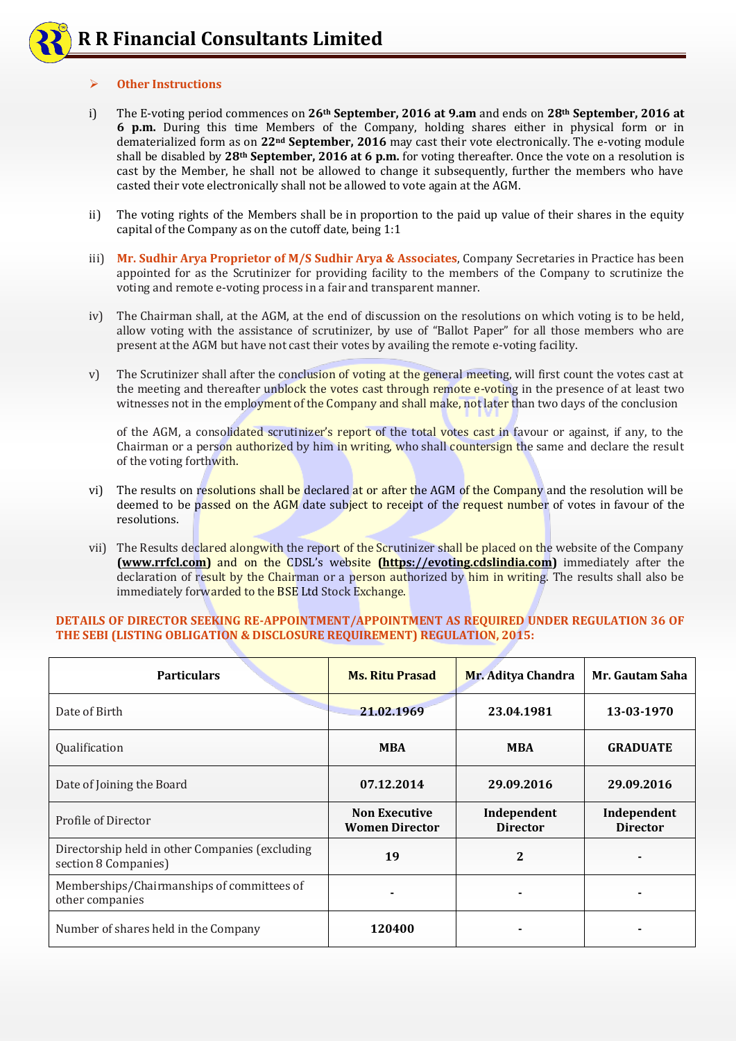### **Other Instructions**

- i) The E-voting period commences on **26th September, 2016 at 9.am** and ends on **28th September, 2016 at 6 p.m.** During this time Members of the Company, holding shares either in physical form or in dematerialized form as on **22nd September, 2016** may cast their vote electronically. The e-voting module shall be disabled by **28th September, 2016 at 6 p.m.** for voting thereafter. Once the vote on a resolution is cast by the Member, he shall not be allowed to change it subsequently, further the members who have casted their vote electronically shall not be allowed to vote again at the AGM.
- ii) The voting rights of the Members shall be in proportion to the paid up value of their shares in the equity capital of the Company as on the cutoff date, being 1:1
- iii) **Mr. Sudhir Arya Proprietor of M/S Sudhir Arya & Associates**, Company Secretaries in Practice has been appointed for as the Scrutinizer for providing facility to the members of the Company to scrutinize the voting and remote e-voting process in a fair and transparent manner.
- iv) The Chairman shall, at the AGM, at the end of discussion on the resolutions on which voting is to be held, allow voting with the assistance of scrutinizer, by use of "Ballot Paper" for all those members who are present at the AGM but have not cast their votes by availing the remote e-voting facility.
- v) The Scrutinizer shall after the conclusion of voting at the general meeting, will first count the votes cast at the meeting and thereafter unblock the votes cast through remote e-voting in the presence of at least two witnesses not in the employment of the Company and shall make, not later than two days of the conclusion

of the AGM, a consolidated scrutinizer's report of the total votes cast in favour or against, if any, to the Chairman or a person authorized by him in writing, who shall countersign the same and declare the result of the voting forthwith.

- vi) The results on resolutions shall be declared at or after the AGM of the Company and the resolution will be deemed to be passed on the AGM date subject to receipt of the request number of votes in favour of the resolutions.
- vii) The Results declared alongwith the report of the Scrutinizer shall be placed on the website of the Company **[\(www.rrfcl.com\)](http://www.rrfcl.com/)** and on the CDSL's website **[\(https://evoting.cdslindia.com\)](https://evoting.cdslindia.com/)** immediately after the declaration of result by the Chairman or a person authorized by him in writing. The results shall also be immediately forwarded to the BSE Ltd Stock Exchange.

# **DETAILS OF DIRECTOR SEEKING RE-APPOINTMENT/APPOINTMENT AS REQUIRED UNDER REGULATION 36 OF THE SEBI (LISTING OBLIGATION & DISCLOSURE REQUIREMENT) REGULATION, 2015:**

| <b>Particulars</b>                                                      | <b>Ms. Ritu Prasad</b>                        | Mr. Aditya Chandra             | Mr. Gautam Saha                |
|-------------------------------------------------------------------------|-----------------------------------------------|--------------------------------|--------------------------------|
| Date of Birth                                                           | 21.02.1969                                    | 23.04.1981                     | 13-03-1970                     |
| Qualification                                                           | <b>MBA</b>                                    | <b>MBA</b>                     | <b>GRADUATE</b>                |
| Date of Joining the Board                                               | 07.12.2014                                    | 29.09.2016                     | 29.09.2016                     |
| Profile of Director                                                     | <b>Non Executive</b><br><b>Women Director</b> | Independent<br><b>Director</b> | Independent<br><b>Director</b> |
| Directorship held in other Companies (excluding<br>section 8 Companies) | 19                                            | $\mathbf{2}$                   |                                |
| Memberships/Chairmanships of committees of<br>other companies           |                                               |                                |                                |
| Number of shares held in the Company                                    | 120400                                        |                                |                                |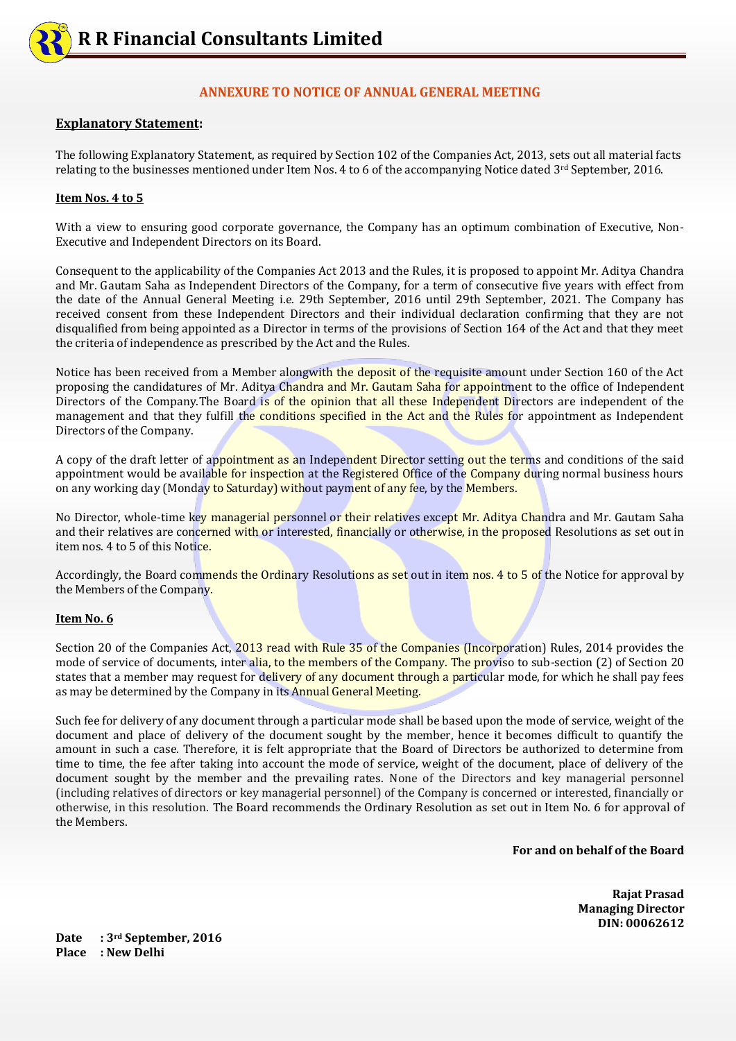

# **ANNEXURE TO NOTICE OF ANNUAL GENERAL MEETING**

# **Explanatory Statement:**

The following Explanatory Statement, as required by Section 102 of the Companies Act, 2013, sets out all material facts relating to the businesses mentioned under Item Nos. 4 to 6 of the accompanying Notice dated  $3<sup>rd</sup>$  September, 2016.

### **Item Nos. 4 to 5**

With a view to ensuring good corporate governance, the Company has an optimum combination of Executive, Non-Executive and Independent Directors on its Board.

Consequent to the applicability of the Companies Act 2013 and the Rules, it is proposed to appoint Mr. Aditya Chandra and Mr. Gautam Saha as Independent Directors of the Company, for a term of consecutive five years with effect from the date of the Annual General Meeting i.e. 29th September, 2016 until 29th September, 2021. The Company has received consent from these Independent Directors and their individual declaration confirming that they are not disqualified from being appointed as a Director in terms of the provisions of Section 164 of the Act and that they meet the criteria of independence as prescribed by the Act and the Rules.

Notice has been received from a Member alongwith the deposit of the requisite amount under Section 160 of the Act proposing the candidatures of Mr. Aditya Chandra and Mr. Gautam Saha for appointment to the office of Independent Directors of the Company. The Board is of the opinion that all these Independent Directors are independent of the management and that they fulfill the conditions specified in the Act and the Rules for appointment as Independent Directors of the Company.

A copy of the draft letter of appointment as an Independent Director setting out the terms and conditions of the said appointment would be available for inspection at the Registered Office of the Company during normal business hours on any working day (Monday to Saturday) without payment of any fee, by the Members.

No Director, whole-time key managerial personnel or their relatives except Mr. Aditya Chandra and Mr. Gautam Saha and their relatives are concerned with or interested, financially or otherwise, in the proposed Resolutions as set out in item nos. 4 to 5 of this Notice.

Accordingly, the Board commends the Ordinary Resolutions as set out in item nos. 4 to 5 of the Notice for approval by the Members of the Company.

### **Item No. 6**

Section 20 of the Companies Act, 2013 read with Rule 35 of the Companies (Incorporation) Rules, 2014 provides the mode of service of documents, inter alia, to the members of the Company. The proviso to sub-section (2) of Section 20 states that a member may request for delivery of any document through a particular mode, for which he shall pay fees as may be determined by the Company in its Annual General Meeting.

Such fee for delivery of any document through a particular mode shall be based upon the mode of service, weight of the document and place of delivery of the document sought by the member, hence it becomes difficult to quantify the amount in such a case. Therefore, it is felt appropriate that the Board of Directors be authorized to determine from time to time, the fee after taking into account the mode of service, weight of the document, place of delivery of the document sought by the member and the prevailing rates. None of the Directors and key managerial personnel (including relatives of directors or key managerial personnel) of the Company is concerned or interested, financially or otherwise, in this resolution. The Board recommends the Ordinary Resolution as set out in Item No. 6 for approval of the Members.

**For and on behalf of the Board**

 **Rajat Prasad Managing Director DIN: 00062612**

**Date : 3rd September, 2016 Place : New Delhi**